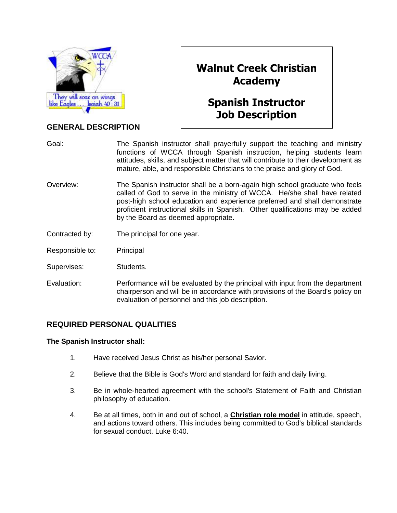

## **GENERAL DESCRIPTION**

# **Walnut Creek Christian Academy**

# **Spanish Instructor Job Description**

Goal: The Spanish instructor shall prayerfully support the teaching and ministry functions of WCCA through Spanish instruction, helping students learn attitudes, skills, and subject matter that will contribute to their development as mature, able, and responsible Christians to the praise and glory of God.

- Overview: The Spanish instructor shall be a born-again high school graduate who feels called of God to serve in the ministry of WCCA. He/she shall have related post-high school education and experience preferred and shall demonstrate proficient instructional skills in Spanish. Other qualifications may be added by the Board as deemed appropriate.
- Contracted by: The principal for one year.
- Responsible to: Principal
- Supervises: Students.
- Evaluation: Performance will be evaluated by the principal with input from the department chairperson and will be in accordance with provisions of the Board's policy on evaluation of personnel and this job description.

### **REQUIRED PERSONAL QUALITIES**

#### **The Spanish Instructor shall:**

- 1. Have received Jesus Christ as his/her personal Savior.
- 2. Believe that the Bible is God's Word and standard for faith and daily living.
- 3. Be in whole-hearted agreement with the school's Statement of Faith and Christian philosophy of education.
- 4. Be at all times, both in and out of school, a **Christian role model** in attitude, speech, and actions toward others. This includes being committed to God's biblical standards for sexual conduct. Luke 6:40.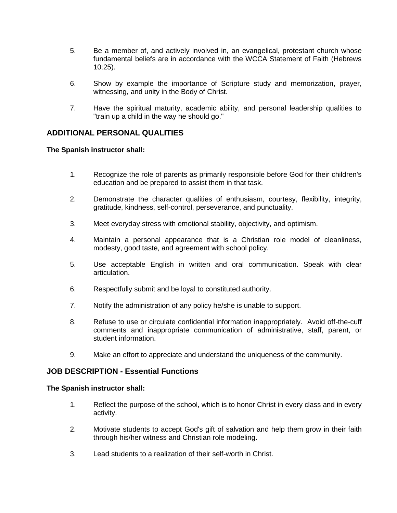- 5. Be a member of, and actively involved in, an evangelical, protestant church whose fundamental beliefs are in accordance with the WCCA Statement of Faith (Hebrews 10:25).
- 6. Show by example the importance of Scripture study and memorization, prayer, witnessing, and unity in the Body of Christ.
- 7. Have the spiritual maturity, academic ability, and personal leadership qualities to "train up a child in the way he should go."

#### **ADDITIONAL PERSONAL QUALITIES**

#### **The Spanish instructor shall:**

- 1. Recognize the role of parents as primarily responsible before God for their children's education and be prepared to assist them in that task.
- 2. Demonstrate the character qualities of enthusiasm, courtesy, flexibility, integrity, gratitude, kindness, self-control, perseverance, and punctuality.
- 3. Meet everyday stress with emotional stability, objectivity, and optimism.
- 4. Maintain a personal appearance that is a Christian role model of cleanliness, modesty, good taste, and agreement with school policy.
- 5. Use acceptable English in written and oral communication. Speak with clear articulation.
- 6. Respectfully submit and be loyal to constituted authority.
- 7. Notify the administration of any policy he/she is unable to support.
- 8. Refuse to use or circulate confidential information inappropriately. Avoid off-the-cuff comments and inappropriate communication of administrative, staff, parent, or student information.
- 9. Make an effort to appreciate and understand the uniqueness of the community.

#### **JOB DESCRIPTION - Essential Functions**

#### **The Spanish instructor shall:**

- 1. Reflect the purpose of the school, which is to honor Christ in every class and in every activity.
- 2. Motivate students to accept God's gift of salvation and help them grow in their faith through his/her witness and Christian role modeling.
- 3. Lead students to a realization of their self-worth in Christ.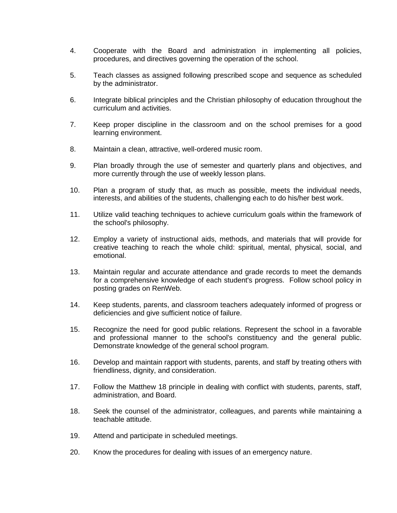- 4. Cooperate with the Board and administration in implementing all policies, procedures, and directives governing the operation of the school.
- 5. Teach classes as assigned following prescribed scope and sequence as scheduled by the administrator.
- 6. Integrate biblical principles and the Christian philosophy of education throughout the curriculum and activities.
- 7. Keep proper discipline in the classroom and on the school premises for a good learning environment.
- 8. Maintain a clean, attractive, well-ordered music room.
- 9. Plan broadly through the use of semester and quarterly plans and objectives, and more currently through the use of weekly lesson plans.
- 10. Plan a program of study that, as much as possible, meets the individual needs, interests, and abilities of the students, challenging each to do his/her best work.
- 11. Utilize valid teaching techniques to achieve curriculum goals within the framework of the school's philosophy.
- 12. Employ a variety of instructional aids, methods, and materials that will provide for creative teaching to reach the whole child: spiritual, mental, physical, social, and emotional.
- 13. Maintain regular and accurate attendance and grade records to meet the demands for a comprehensive knowledge of each student's progress. Follow school policy in posting grades on RenWeb.
- 14. Keep students, parents, and classroom teachers adequately informed of progress or deficiencies and give sufficient notice of failure.
- 15. Recognize the need for good public relations. Represent the school in a favorable and professional manner to the school's constituency and the general public. Demonstrate knowledge of the general school program.
- 16. Develop and maintain rapport with students, parents, and staff by treating others with friendliness, dignity, and consideration.
- 17. Follow the Matthew 18 principle in dealing with conflict with students, parents, staff, administration, and Board.
- 18. Seek the counsel of the administrator, colleagues, and parents while maintaining a teachable attitude.
- 19. Attend and participate in scheduled meetings.
- 20. Know the procedures for dealing with issues of an emergency nature.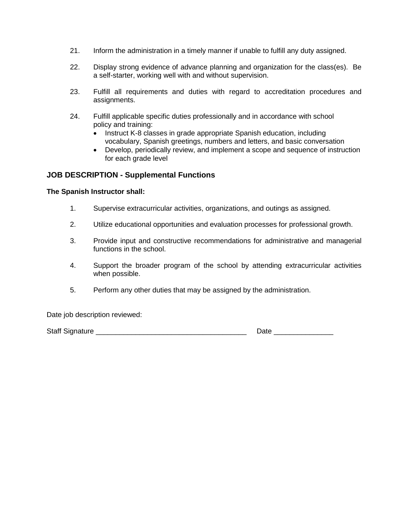- 21. Inform the administration in a timely manner if unable to fulfill any duty assigned.
- 22. Display strong evidence of advance planning and organization for the class(es). Be a self-starter, working well with and without supervision.
- 23. Fulfill all requirements and duties with regard to accreditation procedures and assignments.
- 24. Fulfill applicable specific duties professionally and in accordance with school policy and training:
	- Instruct K-8 classes in grade appropriate Spanish education, including vocabulary, Spanish greetings, numbers and letters, and basic conversation
	- Develop, periodically review, and implement a scope and sequence of instruction for each grade level

#### **JOB DESCRIPTION - Supplemental Functions**

#### **The Spanish Instructor shall:**

- 1. Supervise extracurricular activities, organizations, and outings as assigned.
- 2. Utilize educational opportunities and evaluation processes for professional growth.
- 3. Provide input and constructive recommendations for administrative and managerial functions in the school.
- 4. Support the broader program of the school by attending extracurricular activities when possible.
- 5. Perform any other duties that may be assigned by the administration.

Date job description reviewed:

Staff Signature \_\_\_\_\_\_\_\_\_\_\_\_\_\_\_\_\_\_\_\_\_\_\_\_\_\_\_\_\_\_\_\_\_\_\_\_\_\_ Date \_\_\_\_\_\_\_\_\_\_\_\_\_\_\_